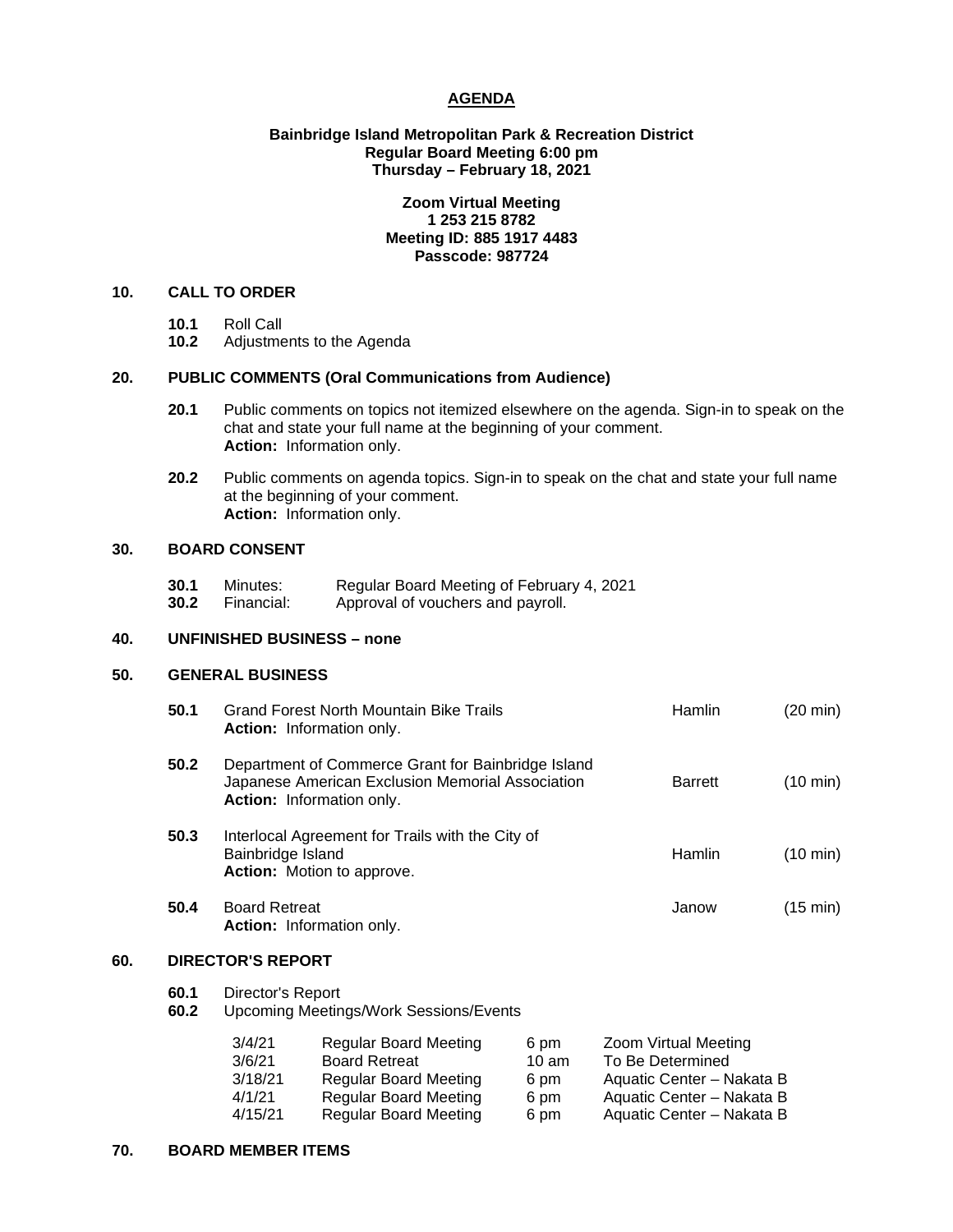# **AGENDA**

## **Bainbridge Island Metropolitan Park & Recreation District Regular Board Meeting 6:00 pm Thursday – February 18, 2021**

## **Zoom Virtual Meeting 1 253 215 8782 Meeting ID: 885 1917 4483 Passcode: 987724**

## **10. CALL TO ORDER**

- **10.1** Roll Call
- **10.2** Adjustments to the Agenda

# **20. PUBLIC COMMENTS (Oral Communications from Audience)**

- **20.1** Public comments on topics not itemized elsewhere on the agenda. Sign-in to speak on the chat and state your full name at the beginning of your comment. **Action:** Information only.
- **20.2** Public comments on agenda topics. Sign-in to speak on the chat and state your full name at the beginning of your comment. **Action:** Information only.

# **30. BOARD CONSENT**

- **30.1** Minutes: Regular Board Meeting of February 4, 2021
- **30.2** Financial: Approval of vouchers and payroll.

## **40. UNFINISHED BUSINESS – none**

#### **50. GENERAL BUSINESS**

|     | 50.1                     | <b>Grand Forest North Mountain Bike Trails</b><br><b>Action:</b> Information only.                                                  | Hamlin         | (20 min)           |  |  |
|-----|--------------------------|-------------------------------------------------------------------------------------------------------------------------------------|----------------|--------------------|--|--|
|     | 50.2                     | Department of Commerce Grant for Bainbridge Island<br>Japanese American Exclusion Memorial Association<br>Action: Information only. | <b>Barrett</b> | (10 min)           |  |  |
|     | 50.3                     | Interlocal Agreement for Trails with the City of<br>Bainbridge Island<br><b>Action:</b> Motion to approve.                          | <b>Hamlin</b>  | $(10 \text{ min})$ |  |  |
|     | 50.4                     | <b>Board Retreat</b><br><b>Action:</b> Information only.                                                                            | Janow          | $(15 \text{ min})$ |  |  |
| 60. | <b>DIRECTOR'S REPORT</b> |                                                                                                                                     |                |                    |  |  |
|     | 60.1<br>60.2             | Director's Report<br>Upcoming Meetings/Work Sessions/Events                                                                         |                |                    |  |  |

| 3/4/21  | <b>Regular Board Meeting</b> | 6 pm            | Zoom Virtual Meeting      |
|---------|------------------------------|-----------------|---------------------------|
| 3/6/21  | <b>Board Retreat</b>         | $10 \text{ am}$ | To Be Determined          |
| 3/18/21 | <b>Regular Board Meeting</b> | 6 pm            | Aquatic Center - Nakata B |
| 4/1/21  | <b>Regular Board Meeting</b> | 6 pm            | Aquatic Center - Nakata B |
| 4/15/21 | <b>Regular Board Meeting</b> | 6 pm            | Aquatic Center - Nakata B |

## **70. BOARD MEMBER ITEMS**